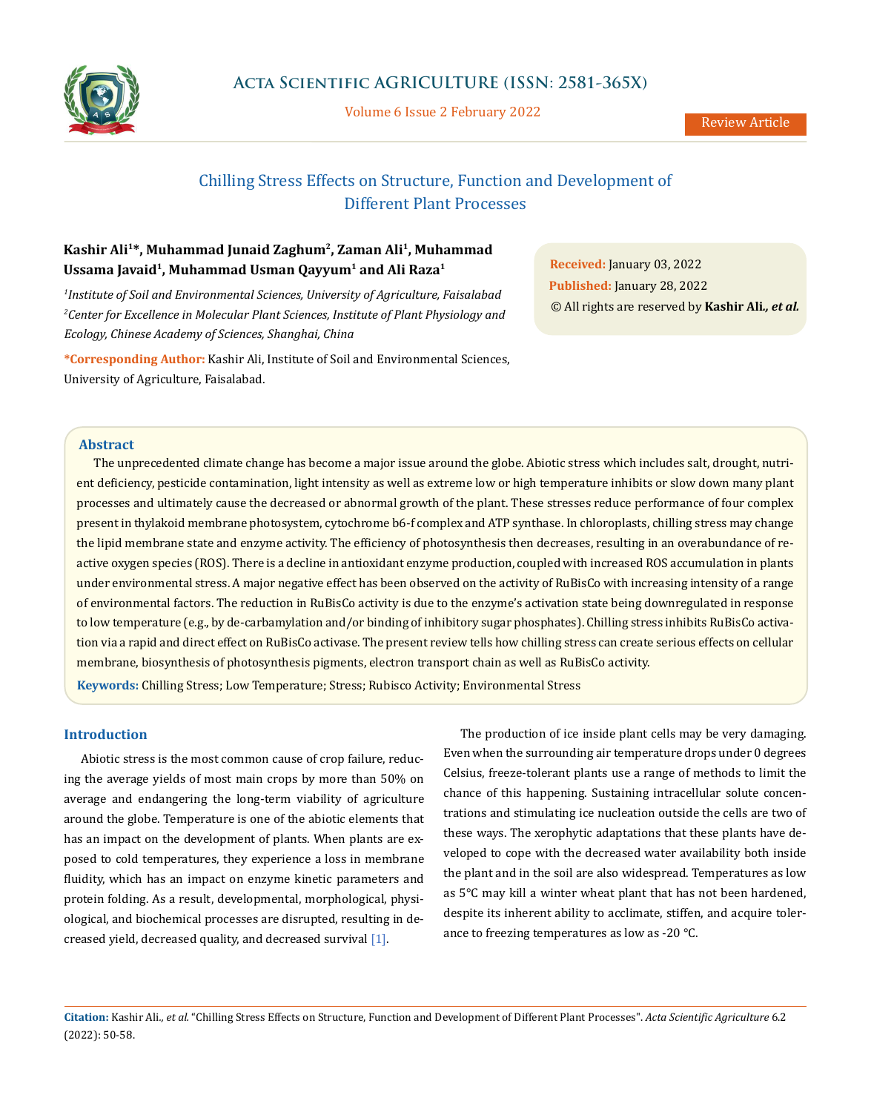

Volume 6 Issue 2 February 2022

# Chilling Stress Effects on Structure, Function and Development of Different Plant Processes

## **Kashir Ali1\*, Muhammad Junaid Zaghum2, Zaman Ali1, Muhammad**  Ussama Javaid<sup>1</sup>, Muhammad Usman Qayyum<sup>1</sup> and Ali Raza<sup>1</sup>

*1 Institute of Soil and Environmental Sciences, University of Agriculture, Faisalabad 2 Center for Excellence in Molecular Plant Sciences, Institute of Plant Physiology and Ecology, Chinese Academy of Sciences, Shanghai, China*

**\*Corresponding Author:** Kashir Ali, Institute of Soil and Environmental Sciences, University of Agriculture, Faisalabad.

**Received:** January 03, 2022 **Published:** January 28, 2022 © All rights are reserved by **Kashir Ali***., et al.*

#### **Abstract**

The unprecedented climate change has become a major issue around the globe. Abiotic stress which includes salt, drought, nutrient deficiency, pesticide contamination, light intensity as well as extreme low or high temperature inhibits or slow down many plant processes and ultimately cause the decreased or abnormal growth of the plant. These stresses reduce performance of four complex present in thylakoid membrane photosystem, cytochrome b6-f complex and ATP synthase. In chloroplasts, chilling stress may change the lipid membrane state and enzyme activity. The efficiency of photosynthesis then decreases, resulting in an overabundance of reactive oxygen species (ROS). There is a decline in antioxidant enzyme production, coupled with increased ROS accumulation in plants under environmental stress. A major negative effect has been observed on the activity of RuBisCo with increasing intensity of a range of environmental factors. The reduction in RuBisCo activity is due to the enzyme's activation state being downregulated in response to low temperature (e.g., by de-carbamylation and/or binding of inhibitory sugar phosphates). Chilling stress inhibits RuBisCo activation via a rapid and direct effect on RuBisCo activase. The present review tells how chilling stress can create serious effects on cellular membrane, biosynthesis of photosynthesis pigments, electron transport chain as well as RuBisCo activity.

**Keywords:** Chilling Stress; Low Temperature; Stress; Rubisco Activity; Environmental Stress

## **Introduction**

Abiotic stress is the most common cause of crop failure, reducing the average yields of most main crops by more than 50% on average and endangering the long-term viability of agriculture around the globe. Temperature is one of the abiotic elements that has an impact on the development of plants. When plants are exposed to cold temperatures, they experience a loss in membrane fluidity, which has an impact on enzyme kinetic parameters and protein folding. As a result, developmental, morphological, physiological, and biochemical processes are disrupted, resulting in decreased yield, decreased quality, and decreased survival [1].

The production of ice inside plant cells may be very damaging. Even when the surrounding air temperature drops under 0 degrees Celsius, freeze-tolerant plants use a range of methods to limit the chance of this happening. Sustaining intracellular solute concentrations and stimulating ice nucleation outside the cells are two of these ways. The xerophytic adaptations that these plants have developed to cope with the decreased water availability both inside the plant and in the soil are also widespread. Temperatures as low as 5°C may kill a winter wheat plant that has not been hardened, despite its inherent ability to acclimate, stiffen, and acquire tolerance to freezing temperatures as low as -20 °C.

**Citation:** Kashir Ali*., et al.* "Chilling Stress Effects on Structure, Function and Development of Different Plant Processes". *Acta Scientific Agriculture* 6.2 (2022): 50-58.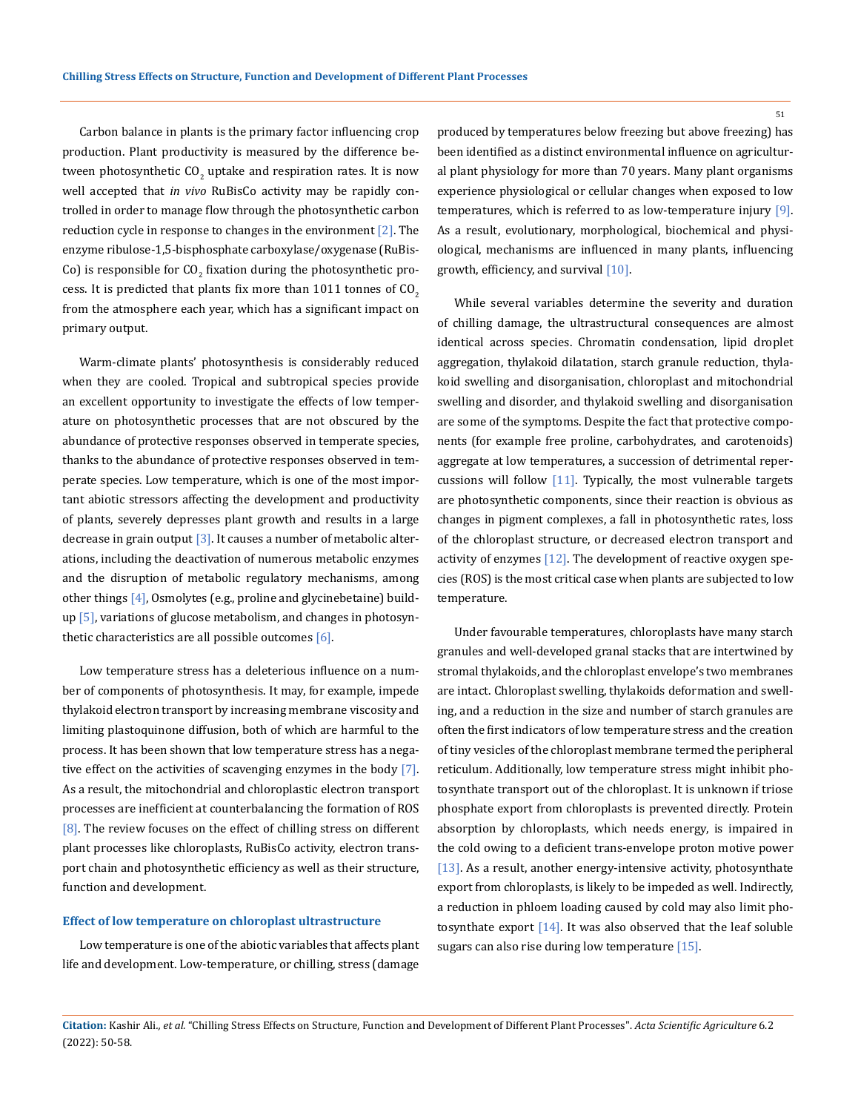Carbon balance in plants is the primary factor influencing crop production. Plant productivity is measured by the difference between photosynthetic CO<sub>2</sub> uptake and respiration rates. It is now well accepted that *in vivo* RuBisCo activity may be rapidly controlled in order to manage flow through the photosynthetic carbon reduction cycle in response to changes in the environment  $[2]$ . The enzyme ribulose-1,5-bisphosphate carboxylase/oxygenase (RuBis-Co) is responsible for  $CO_{2}$  fixation during the photosynthetic process. It is predicted that plants fix more than  $1011$  tonnes of  $CO<sub>2</sub>$ from the atmosphere each year, which has a significant impact on primary output.

Warm-climate plants' photosynthesis is considerably reduced when they are cooled. Tropical and subtropical species provide an excellent opportunity to investigate the effects of low temperature on photosynthetic processes that are not obscured by the abundance of protective responses observed in temperate species, thanks to the abundance of protective responses observed in temperate species. Low temperature, which is one of the most important abiotic stressors affecting the development and productivity of plants, severely depresses plant growth and results in a large decrease in grain output  $\left[3\right]$ . It causes a number of metabolic alterations, including the deactivation of numerous metabolic enzymes and the disruption of metabolic regulatory mechanisms, among other things [4], Osmolytes (e.g., proline and glycinebetaine) buildup [5], variations of glucose metabolism, and changes in photosynthetic characteristics are all possible outcomes  $[6]$ .

Low temperature stress has a deleterious influence on a number of components of photosynthesis. It may, for example, impede thylakoid electron transport by increasing membrane viscosity and limiting plastoquinone diffusion, both of which are harmful to the process. It has been shown that low temperature stress has a negative effect on the activities of scavenging enzymes in the body [7]. As a result, the mitochondrial and chloroplastic electron transport processes are inefficient at counterbalancing the formation of ROS [8]. The review focuses on the effect of chilling stress on different plant processes like chloroplasts, RuBisCo activity, electron transport chain and photosynthetic efficiency as well as their structure, function and development.

#### **Effect of low temperature on chloroplast ultrastructure**

Low temperature is one of the abiotic variables that affects plant life and development. Low-temperature, or chilling, stress (damage

produced by temperatures below freezing but above freezing) has been identified as a distinct environmental influence on agricultural plant physiology for more than 70 years. Many plant organisms experience physiological or cellular changes when exposed to low temperatures, which is referred to as low-temperature injury [9]. As a result, evolutionary, morphological, biochemical and physiological, mechanisms are influenced in many plants, influencing growth, efficiency, and survival [10].

While several variables determine the severity and duration of chilling damage, the ultrastructural consequences are almost identical across species. Chromatin condensation, lipid droplet aggregation, thylakoid dilatation, starch granule reduction, thylakoid swelling and disorganisation, chloroplast and mitochondrial swelling and disorder, and thylakoid swelling and disorganisation are some of the symptoms. Despite the fact that protective components (for example free proline, carbohydrates, and carotenoids) aggregate at low temperatures, a succession of detrimental repercussions will follow [11]. Typically, the most vulnerable targets are photosynthetic components, since their reaction is obvious as changes in pigment complexes, a fall in photosynthetic rates, loss of the chloroplast structure, or decreased electron transport and activity of enzymes  $[12]$ . The development of reactive oxygen species (ROS) is the most critical case when plants are subjected to low temperature.

Under favourable temperatures, chloroplasts have many starch granules and well-developed granal stacks that are intertwined by stromal thylakoids, and the chloroplast envelope's two membranes are intact. Chloroplast swelling, thylakoids deformation and swelling, and a reduction in the size and number of starch granules are often the first indicators of low temperature stress and the creation of tiny vesicles of the chloroplast membrane termed the peripheral reticulum. Additionally, low temperature stress might inhibit photosynthate transport out of the chloroplast. It is unknown if triose phosphate export from chloroplasts is prevented directly. Protein absorption by chloroplasts, which needs energy, is impaired in the cold owing to a deficient trans-envelope proton motive power [ $13$ ]. As a result, another energy-intensive activity, photosynthate export from chloroplasts, is likely to be impeded as well. Indirectly, a reduction in phloem loading caused by cold may also limit photosynthate export [14]. It was also observed that the leaf soluble sugars can also rise during low temperature [15].

**Citation:** Kashir Ali*., et al.* "Chilling Stress Effects on Structure, Function and Development of Different Plant Processes". *Acta Scientific Agriculture* 6.2 (2022): 50-58.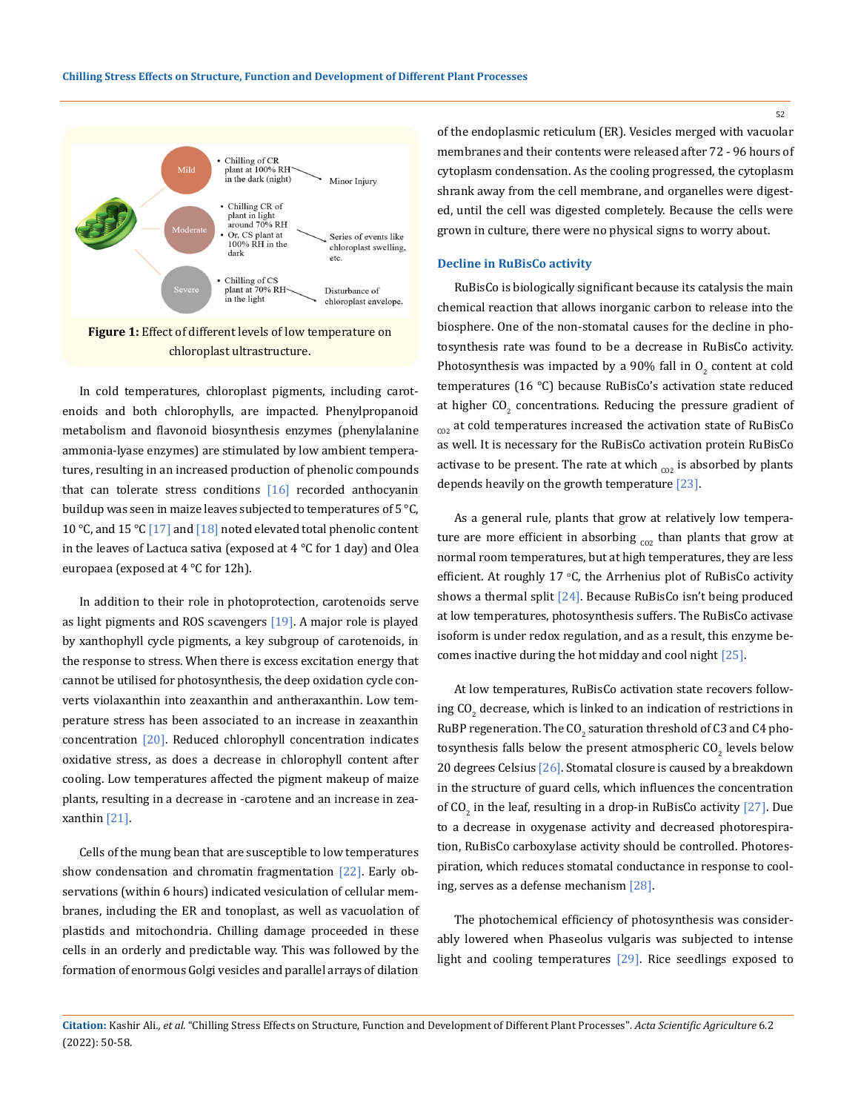

In cold temperatures, chloroplast pigments, including carotenoids and both chlorophylls, are impacted. Phenylpropanoid metabolism and flavonoid biosynthesis enzymes (phenylalanine ammonia-lyase enzymes) are stimulated by low ambient temperatures, resulting in an increased production of phenolic compounds that can tolerate stress conditions  $[16]$  recorded anthocyanin buildup was seen in maize leaves subjected to temperatures of 5  $\degree$ C, 10 °C, and 15 °C  $[17]$  and  $[18]$  noted elevated total phenolic content in the leaves of Lactuca sativa (exposed at  $4^{\circ}$ C for 1 day) and Olea europaea (exposed at 4 °C for 12h).

In addition to their role in photoprotection, carotenoids serve as light pigments and ROS scavengers [19]. A major role is played by xanthophyll cycle pigments, a key subgroup of carotenoids, in the response to stress. When there is excess excitation energy that cannot be utilised for photosynthesis, the deep oxidation cycle converts violaxanthin into zeaxanthin and antheraxanthin. Low temperature stress has been associated to an increase in zeaxanthin concentration [20]. Reduced chlorophyll concentration indicates oxidative stress, as does a decrease in chlorophyll content after cooling. Low temperatures affected the pigment makeup of maize plants, resulting in a decrease in -carotene and an increase in zeaxanthin [21].

Cells of the mung bean that are susceptible to low temperatures show condensation and chromatin fragmentation [22]. Early observations (within 6 hours) indicated vesiculation of cellular membranes, including the ER and tonoplast, as well as vacuolation of plastids and mitochondria. Chilling damage proceeded in these cells in an orderly and predictable way. This was followed by the formation of enormous Golgi vesicles and parallel arrays of dilation of the endoplasmic reticulum (ER). Vesicles merged with vacuolar membranes and their contents were released after 72 - 96 hours of cytoplasm condensation. As the cooling progressed, the cytoplasm shrank away from the cell membrane, and organelles were digested, until the cell was digested completely. Because the cells were grown in culture, there were no physical signs to worry about.

## **Decline in RuBisCo activity**

RuBisCo is biologically significant because its catalysis the main chemical reaction that allows inorganic carbon to release into the biosphere. One of the non-stomatal causes for the decline in photosynthesis rate was found to be a decrease in RuBisCo activity. Photosynthesis was impacted by a 90% fall in  $O_2$  content at cold temperatures (16 °C) because RuBisCo's activation state reduced at higher  $\text{CO}_2$  concentrations. Reducing the pressure gradient of  $_{cov}$  at cold temperatures increased the activation state of RuBisCo as well. It is necessary for the RuBisCo activation protein RuBisCo activase to be present. The rate at which  $_{co2}$  is absorbed by plants depends heavily on the growth temperature [23].

As a general rule, plants that grow at relatively low temperature are more efficient in absorbing  $_{c02}$  than plants that grow at normal room temperatures, but at high temperatures, they are less efficient. At roughly 17 °C, the Arrhenius plot of RuBisCo activity shows a thermal split  $[24]$ . Because RuBisCo isn't being produced at low temperatures, photosynthesis suffers. The RuBisCo activase isoform is under redox regulation, and as a result, this enzyme becomes inactive during the hot midday and cool night [25].

At low temperatures, RuBisCo activation state recovers following CO<sub>2</sub> decrease, which is linked to an indication of restrictions in RuBP regeneration. The CO $_{\rm 2}$  saturation threshold of C3 and C4 photosynthesis falls below the present atmospheric CO $_2$  levels below 20 degrees Celsius [26]. Stomatal closure is caused by a breakdown in the structure of guard cells, which influences the concentration of CO<sub>2</sub> in the leaf, resulting in a drop-in RuBisCo activity  $[27]$ . Due to a decrease in oxygenase activity and decreased photorespiration, RuBisCo carboxylase activity should be controlled. Photorespiration, which reduces stomatal conductance in response to cooling, serves as a defense mechanism [28].

The photochemical efficiency of photosynthesis was considerably lowered when Phaseolus vulgaris was subjected to intense light and cooling temperatures [29]. Rice seedlings exposed to

**Citation:** Kashir Ali*., et al.* "Chilling Stress Effects on Structure, Function and Development of Different Plant Processes". *Acta Scientific Agriculture* 6.2 (2022): 50-58.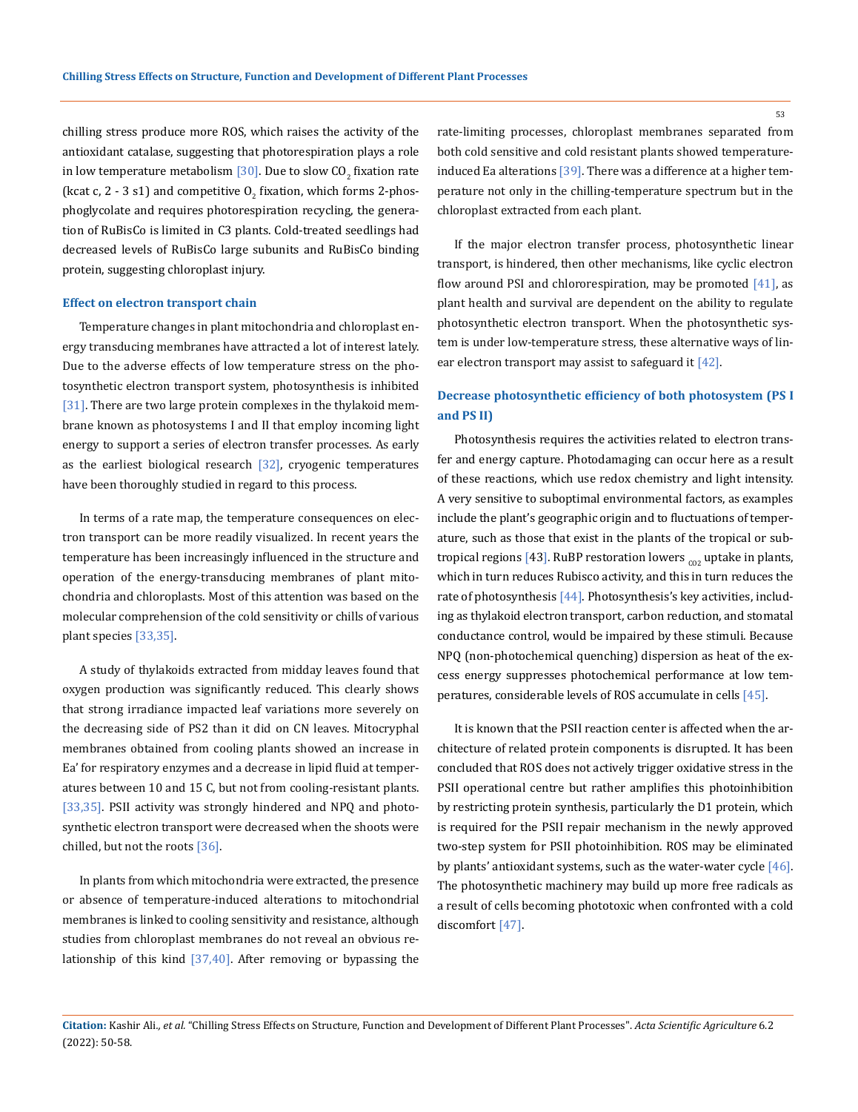chilling stress produce more ROS, which raises the activity of the antioxidant catalase, suggesting that photorespiration plays a role in low temperature metabolism  $[30]$ . Due to slow CO<sub>2</sub> fixation rate (kcat c,  $2$  - 3 s1) and competitive  $0<sub>2</sub>$  fixation, which forms 2-phosphoglycolate and requires photorespiration recycling, the generation of RuBisCo is limited in C3 plants. Cold-treated seedlings had decreased levels of RuBisCo large subunits and RuBisCo binding protein, suggesting chloroplast injury.

#### **Effect on electron transport chain**

Temperature changes in plant mitochondria and chloroplast energy transducing membranes have attracted a lot of interest lately. Due to the adverse effects of low temperature stress on the photosynthetic electron transport system, photosynthesis is inhibited [31]. There are two large protein complexes in the thylakoid membrane known as photosystems I and II that employ incoming light energy to support a series of electron transfer processes. As early as the earliest biological research  $[32]$ , cryogenic temperatures have been thoroughly studied in regard to this process.

In terms of a rate map, the temperature consequences on electron transport can be more readily visualized. In recent years the temperature has been increasingly influenced in the structure and operation of the energy-transducing membranes of plant mitochondria and chloroplasts. Most of this attention was based on the molecular comprehension of the cold sensitivity or chills of various plant species [33,35].

A study of thylakoids extracted from midday leaves found that oxygen production was significantly reduced. This clearly shows that strong irradiance impacted leaf variations more severely on the decreasing side of PS2 than it did on CN leaves. Mitocryphal membranes obtained from cooling plants showed an increase in Ea' for respiratory enzymes and a decrease in lipid fluid at temperatures between 10 and 15 C, but not from cooling-resistant plants. [33,35]. PSII activity was strongly hindered and NPQ and photosynthetic electron transport were decreased when the shoots were chilled, but not the roots [36].

In plants from which mitochondria were extracted, the presence or absence of temperature-induced alterations to mitochondrial membranes is linked to cooling sensitivity and resistance, although studies from chloroplast membranes do not reveal an obvious relationship of this kind [37,40]. After removing or bypassing the rate-limiting processes, chloroplast membranes separated from both cold sensitive and cold resistant plants showed temperatureinduced Ea alterations  $[39]$ . There was a difference at a higher temperature not only in the chilling-temperature spectrum but in the chloroplast extracted from each plant.

If the major electron transfer process, photosynthetic linear transport, is hindered, then other mechanisms, like cyclic electron flow around PSI and chlororespiration, may be promoted  $[41]$ , as plant health and survival are dependent on the ability to regulate photosynthetic electron transport. When the photosynthetic system is under low-temperature stress, these alternative ways of linear electron transport may assist to safeguard it [42].

## **Decrease photosynthetic efficiency of both photosystem (PS I and PS II)**

Photosynthesis requires the activities related to electron transfer and energy capture. Photodamaging can occur here as a result of these reactions, which use redox chemistry and light intensity. A very sensitive to suboptimal environmental factors, as examples include the plant's geographic origin and to fluctuations of temperature, such as those that exist in the plants of the tropical or subtropical regions [43]. RuBP restoration lowers  $_{c02}$  uptake in plants, which in turn reduces Rubisco activity, and this in turn reduces the rate of photosynthesis [44]. Photosynthesis's key activities, including as thylakoid electron transport, carbon reduction, and stomatal conductance control, would be impaired by these stimuli. Because NPQ (non-photochemical quenching) dispersion as heat of the excess energy suppresses photochemical performance at low temperatures, considerable levels of ROS accumulate in cells [45].

It is known that the PSII reaction center is affected when the architecture of related protein components is disrupted. It has been concluded that ROS does not actively trigger oxidative stress in the PSII operational centre but rather amplifies this photoinhibition by restricting protein synthesis, particularly the D1 protein, which is required for the PSII repair mechanism in the newly approved two-step system for PSII photoinhibition. ROS may be eliminated by plants' antioxidant systems, such as the water-water cycle  $[46]$ . The photosynthetic machinery may build up more free radicals as a result of cells becoming phototoxic when confronted with a cold discomfort [47].

**Citation:** Kashir Ali*., et al.* "Chilling Stress Effects on Structure, Function and Development of Different Plant Processes". *Acta Scientific Agriculture* 6.2 (2022): 50-58.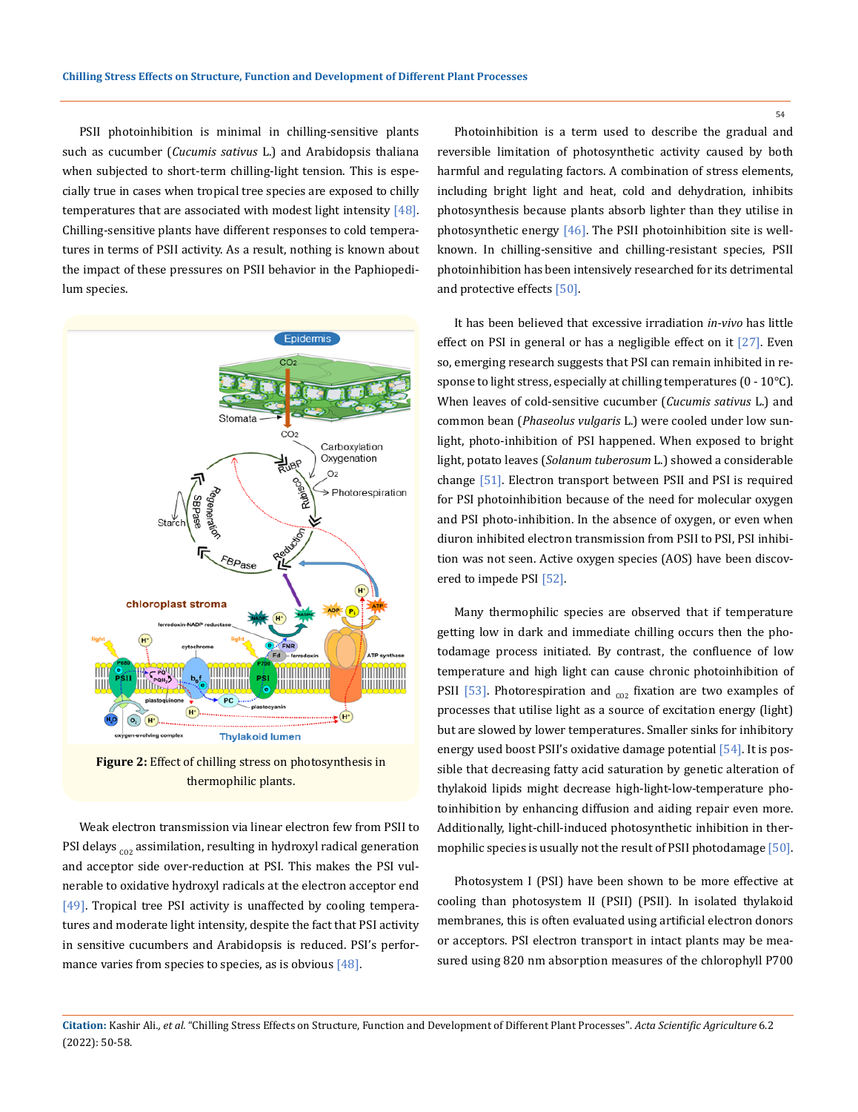PSII photoinhibition is minimal in chilling-sensitive plants such as cucumber (*Cucumis sativus* L.) and Arabidopsis thaliana when subjected to short-term chilling-light tension. This is especially true in cases when tropical tree species are exposed to chilly temperatures that are associated with modest light intensity  $[48]$ . Chilling-sensitive plants have different responses to cold temperatures in terms of PSII activity. As a result, nothing is known about the impact of these pressures on PSII behavior in the Paphiopedilum species.



**Figure 2:** Effect of chilling stress on photosynthesis in thermophilic plants.

Weak electron transmission via linear electron few from PSII to PSI delays  $_{co2}$  assimilation, resulting in hydroxyl radical generation and acceptor side over-reduction at PSI. This makes the PSI vulnerable to oxidative hydroxyl radicals at the electron acceptor end [49]. Tropical tree PSI activity is unaffected by cooling temperatures and moderate light intensity, despite the fact that PSI activity in sensitive cucumbers and Arabidopsis is reduced. PSI's performance varies from species to species, as is obvious  $[48]$ .

Photoinhibition is a term used to describe the gradual and reversible limitation of photosynthetic activity caused by both harmful and regulating factors. A combination of stress elements, including bright light and heat, cold and dehydration, inhibits photosynthesis because plants absorb lighter than they utilise in photosynthetic energy [46]. The PSII photoinhibition site is wellknown. In chilling-sensitive and chilling-resistant species, PSII photoinhibition has been intensively researched for its detrimental and protective effects [50].

It has been believed that excessive irradiation *in-vivo* has little effect on PSI in general or has a negligible effect on it [27]. Even so, emerging research suggests that PSI can remain inhibited in response to light stress, especially at chilling temperatures (0 - 10°C). When leaves of cold-sensitive cucumber (*Cucumis sativus* L.) and common bean (*Phaseolus vulgaris* L.) were cooled under low sunlight, photo-inhibition of PSI happened. When exposed to bright light, potato leaves (*Solanum tuberosum* L.) showed a considerable change [51]. Electron transport between PSII and PSI is required for PSI photoinhibition because of the need for molecular oxygen and PSI photo-inhibition. In the absence of oxygen, or even when diuron inhibited electron transmission from PSII to PSI, PSI inhibition was not seen. Active oxygen species (AOS) have been discovered to impede PSI [52].

Many thermophilic species are observed that if temperature getting low in dark and immediate chilling occurs then the photodamage process initiated. By contrast, the confluence of low temperature and high light can cause chronic photoinhibition of PSII [53]. Photorespiration and  $_{co2}$  fixation are two examples of processes that utilise light as a source of excitation energy (light) but are slowed by lower temperatures. Smaller sinks for inhibitory energy used boost PSII's oxidative damage potential [54]. It is possible that decreasing fatty acid saturation by genetic alteration of thylakoid lipids might decrease high-light-low-temperature photoinhibition by enhancing diffusion and aiding repair even more. Additionally, light-chill-induced photosynthetic inhibition in thermophilic species is usually not the result of PSII photodamage [50].

Photosystem I (PSI) have been shown to be more effective at cooling than photosystem II (PSII) (PSII). In isolated thylakoid membranes, this is often evaluated using artificial electron donors or acceptors. PSI electron transport in intact plants may be measured using 820 nm absorption measures of the chlorophyll P700

**Citation:** Kashir Ali*., et al.* "Chilling Stress Effects on Structure, Function and Development of Different Plant Processes". *Acta Scientific Agriculture* 6.2 (2022): 50-58.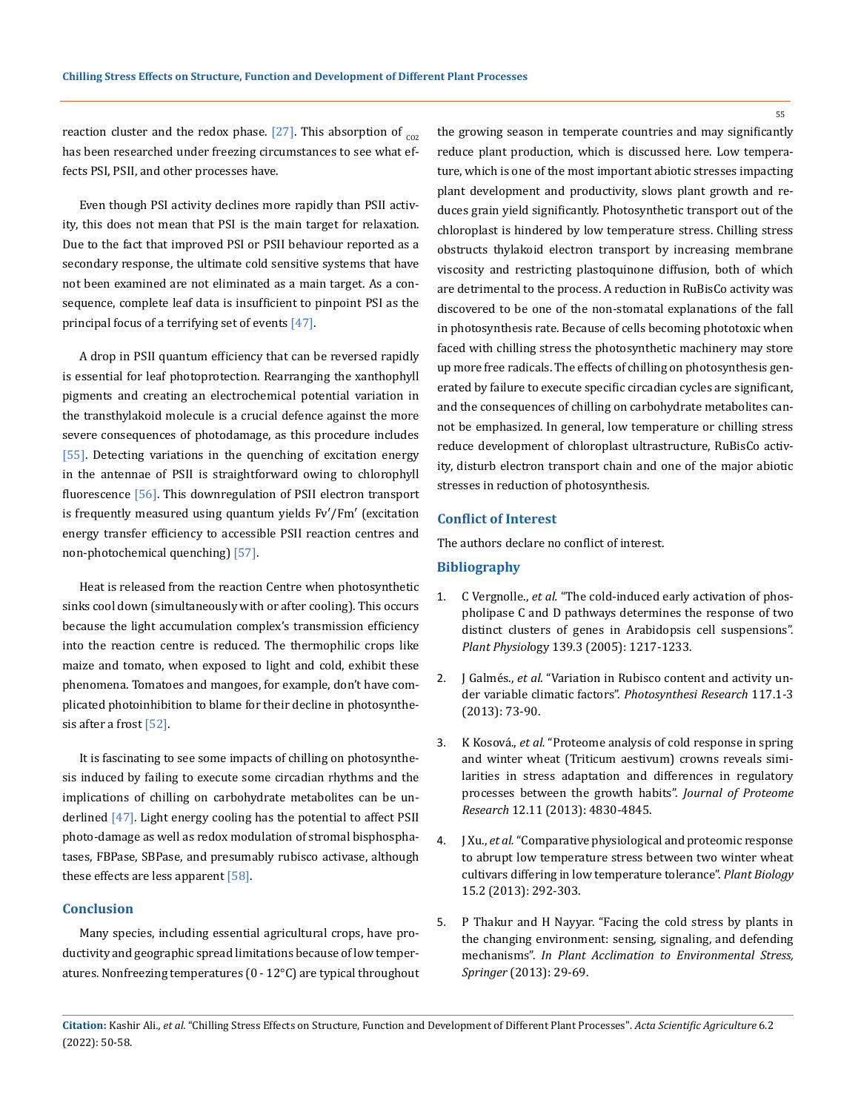reaction cluster and the redox phase. [27]. This absorption of  $_{cor}$ has been researched under freezing circumstances to see what effects PSI, PSII, and other processes have.

Even though PSI activity declines more rapidly than PSII activity, this does not mean that PSI is the main target for relaxation. Due to the fact that improved PSI or PSII behaviour reported as a secondary response, the ultimate cold sensitive systems that have not been examined are not eliminated as a main target. As a consequence, complete leaf data is insufficient to pinpoint PSI as the principal focus of a terrifying set of events [47].

A drop in PSII quantum efficiency that can be reversed rapidly is essential for leaf photoprotection. Rearranging the xanthophyll pigments and creating an electrochemical potential variation in the transthylakoid molecule is a crucial defence against the more severe consequences of photodamage, as this procedure includes [55]. Detecting variations in the quenching of excitation energy in the antennae of PSII is straightforward owing to chlorophyll fluorescence [56]. This downregulation of PSII electron transport is frequently measured using quantum yields Fv′/Fm′ (excitation energy transfer efficiency to accessible PSII reaction centres and non-photochemical quenching) [57].

Heat is released from the reaction Centre when photosynthetic sinks cool down (simultaneously with or after cooling). This occurs because the light accumulation complex's transmission efficiency into the reaction centre is reduced. The thermophilic crops like maize and tomato, when exposed to light and cold, exhibit these phenomena. Tomatoes and mangoes, for example, don't have complicated photoinhibition to blame for their decline in photosynthesis after a frost [52].

It is fascinating to see some impacts of chilling on photosynthesis induced by failing to execute some circadian rhythms and the implications of chilling on carbohydrate metabolites can be underlined [47]. Light energy cooling has the potential to affect PSII photo-damage as well as redox modulation of stromal bisphosphatases, FBPase, SBPase, and presumably rubisco activase, although these effects are less apparent [58].

## **Conclusion**

Many species, including essential agricultural crops, have productivity and geographic spread limitations because of low temperatures. Nonfreezing temperatures (0 - 12°C) are typical throughout the growing season in temperate countries and may significantly reduce plant production, which is discussed here. Low temperature, which is one of the most important abiotic stresses impacting plant development and productivity, slows plant growth and reduces grain yield significantly. Photosynthetic transport out of the chloroplast is hindered by low temperature stress. Chilling stress obstructs thylakoid electron transport by increasing membrane viscosity and restricting plastoquinone diffusion, both of which are detrimental to the process. A reduction in RuBisCo activity was discovered to be one of the non-stomatal explanations of the fall in photosynthesis rate. Because of cells becoming phototoxic when faced with chilling stress the photosynthetic machinery may store up more free radicals. The effects of chilling on photosynthesis generated by failure to execute specific circadian cycles are significant, and the consequences of chilling on carbohydrate metabolites cannot be emphasized. In general, low temperature or chilling stress reduce development of chloroplast ultrastructure, RuBisCo activity, disturb electron transport chain and one of the major abiotic stresses in reduction of photosynthesis.

### **Conflict of Interest**

The authors declare no conflict of interest.

## **Bibliography**

- 1. C Vergnolle., *et al.* ["The cold-induced early activation of phos](https://pubmed.ncbi.nlm.nih.gov/16258011/)[pholipase C and D pathways determines the response of two](https://pubmed.ncbi.nlm.nih.gov/16258011/)  [distinct clusters of genes in Arabidopsis cell suspensions".](https://pubmed.ncbi.nlm.nih.gov/16258011/)  *Plant Physiol*[ogy 139.3 \(2005\): 1217-1233.](https://pubmed.ncbi.nlm.nih.gov/16258011/)
- 2. J Galmés., *et al.* ["Variation in Rubisco content and activity un](https://pubmed.ncbi.nlm.nih.gov/23748840/)[der variable climatic factors".](https://pubmed.ncbi.nlm.nih.gov/23748840/) *Photosynthesi Research* 117.1-3 [\(2013\): 73-90.](https://pubmed.ncbi.nlm.nih.gov/23748840/)
- 3. K Kosová., *et al.* ["Proteome analysis of cold response in spring](https://pubs.acs.org/doi/10.1021/pr400600g)  [and winter wheat \(Triticum aestivum\) crowns reveals simi](https://pubs.acs.org/doi/10.1021/pr400600g)[larities in stress adaptation and differences in regulatory](https://pubs.acs.org/doi/10.1021/pr400600g)  [processes between the growth habits".](https://pubs.acs.org/doi/10.1021/pr400600g) *Journal of Proteome Research* [12.11 \(2013\): 4830-4845.](https://pubs.acs.org/doi/10.1021/pr400600g)
- 4. J Xu., *et al.* ["Comparative physiological and proteomic response](https://pubmed.ncbi.nlm.nih.gov/22963252/)  [to abrupt low temperature stress between two winter wheat](https://pubmed.ncbi.nlm.nih.gov/22963252/)  [cultivars differing in low temperature tolerance".](https://pubmed.ncbi.nlm.nih.gov/22963252/) *Plant Biology* [15.2 \(2013\): 292-303.](https://pubmed.ncbi.nlm.nih.gov/22963252/)
- 5. [P Thakur and H Nayyar. "Facing the cold stress by plants in](https://www.researchgate.net/publication/278661638_Facing_the_Cold_Stress_by_Plants_in_the_Changing_Environment_Sensing_Signaling_and_Defending_Mechanisms)  [the changing environment: sensing, signaling, and defending](https://www.researchgate.net/publication/278661638_Facing_the_Cold_Stress_by_Plants_in_the_Changing_Environment_Sensing_Signaling_and_Defending_Mechanisms)  mechanisms". *[In Plant Acclimation to Environmental Stress,](https://www.researchgate.net/publication/278661638_Facing_the_Cold_Stress_by_Plants_in_the_Changing_Environment_Sensing_Signaling_and_Defending_Mechanisms)  Springer* [\(2013\): 29-69.](https://www.researchgate.net/publication/278661638_Facing_the_Cold_Stress_by_Plants_in_the_Changing_Environment_Sensing_Signaling_and_Defending_Mechanisms)

**Citation:** Kashir Ali*., et al.* "Chilling Stress Effects on Structure, Function and Development of Different Plant Processes". *Acta Scientific Agriculture* 6.2 (2022): 50-58.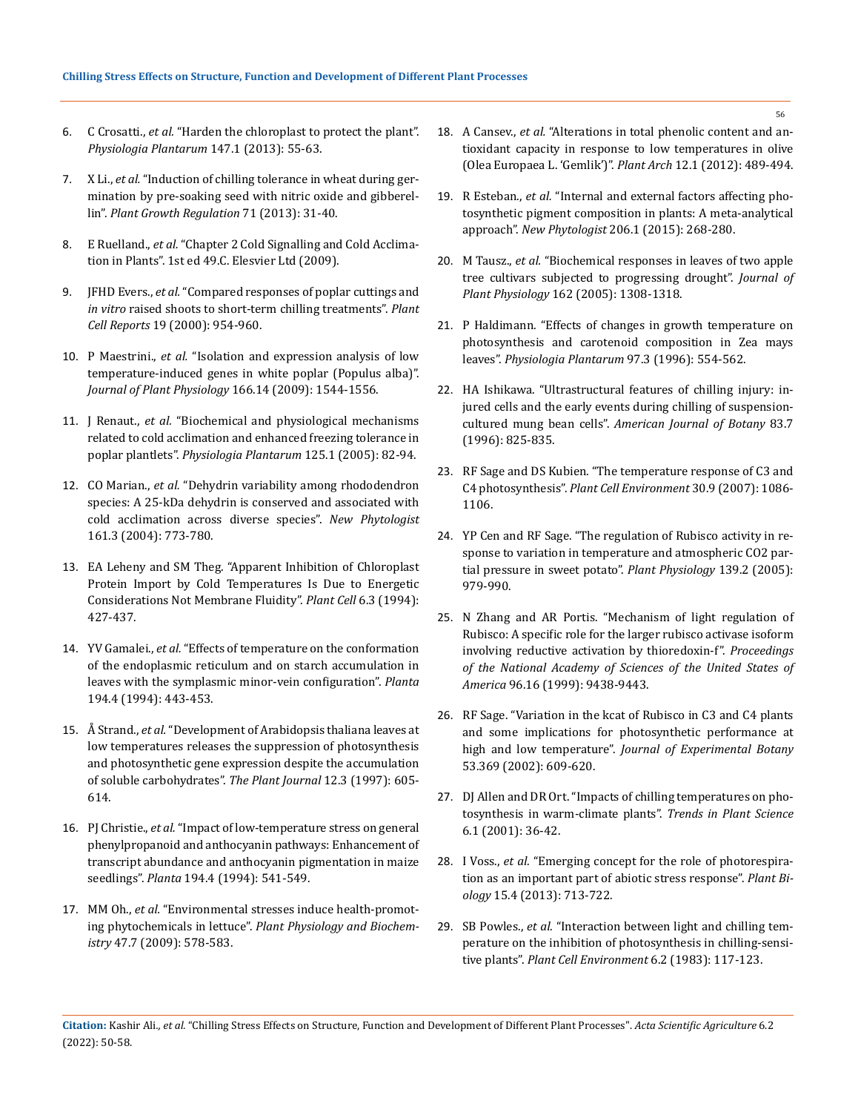- 6. C Crosatti., *et al.* ["Harden the chloroplast to protect the plant".](https://pubmed.ncbi.nlm.nih.gov/22938043/)  *[Physiologia Plantarum](https://pubmed.ncbi.nlm.nih.gov/22938043/)* 147.1 (2013): 55-63.
- 7. X Li., *et al.* ["Induction of chilling tolerance in wheat during ger](https://www.researchgate.net/publication/235940395_Induction_of_chilling_tolerance_in_wheat_during_germination_by_pre-soaking_seed_with_nitric_oxide_and_gibberellin)[mination by pre-soaking seed with nitric oxide and gibberel](https://www.researchgate.net/publication/235940395_Induction_of_chilling_tolerance_in_wheat_during_germination_by_pre-soaking_seed_with_nitric_oxide_and_gibberellin)lin". *[Plant Growth Regulation](https://www.researchgate.net/publication/235940395_Induction_of_chilling_tolerance_in_wheat_during_germination_by_pre-soaking_seed_with_nitric_oxide_and_gibberellin)* 71 (2013): 31-40.
- 8. E Ruelland., *et al.* ["Chapter 2 Cold Signalling and Cold Acclima](https://www.sciencedirect.com/science/article/abs/pii/S0065229608006022)[tion in Plants". 1st ed 49.C. Elesvier Ltd \(2009\).](https://www.sciencedirect.com/science/article/abs/pii/S0065229608006022)
- 9. JFHD Evers., *et al.* ["Compared responses of poplar cuttings and](file:///E:/ANUSHA/Acta/FEBRUARY/ASAG/ASAG-22-RW-001/“Compared%20responses%20of%20poplar%20cuttings%20and%20in%20vitro%20raised%20shoots%20to%20short-term%20chilling%20treatments)  *in vitro* [raised shoots to short-term chilling treatments".](file:///E:/ANUSHA/Acta/FEBRUARY/ASAG/ASAG-22-RW-001/“Compared%20responses%20of%20poplar%20cuttings%20and%20in%20vitro%20raised%20shoots%20to%20short-term%20chilling%20treatments) *Plant Cell Reports* [19 \(2000\): 954-960.](file:///E:/ANUSHA/Acta/FEBRUARY/ASAG/ASAG-22-RW-001/“Compared%20responses%20of%20poplar%20cuttings%20and%20in%20vitro%20raised%20shoots%20to%20short-term%20chilling%20treatments)
- 10. P Maestrini., *et al.* ["Isolation and expression analysis of low](https://pubmed.ncbi.nlm.nih.gov/30754838/)  [temperature-induced genes in white poplar \(Populus alba\)".](https://pubmed.ncbi.nlm.nih.gov/30754838/)  *[Journal of Plant Physiology](https://pubmed.ncbi.nlm.nih.gov/30754838/)* 166.14 (2009): 1544-1556.
- 11. J Renaut., *et al.* ["Biochemical and physiological mechanisms](https://onlinelibrary.wiley.com/doi/abs/10.1111/j.1399-3054.2005.00554.x)  [related to cold acclimation and enhanced freezing tolerance in](https://onlinelibrary.wiley.com/doi/abs/10.1111/j.1399-3054.2005.00554.x)  poplar plantlets". *[Physiologia Plantarum](https://onlinelibrary.wiley.com/doi/abs/10.1111/j.1399-3054.2005.00554.x)* 125.1 (2005): 82-94.
- 12. CO Marian., *et al.* ["Dehydrin variability among rhododendron](https://pubmed.ncbi.nlm.nih.gov/33873716/)  [species: A 25-kDa dehydrin is conserved and associated with](https://pubmed.ncbi.nlm.nih.gov/33873716/)  [cold acclimation across diverse species".](https://pubmed.ncbi.nlm.nih.gov/33873716/) *New Phytologist*  [161.3 \(2004\): 773-780.](https://pubmed.ncbi.nlm.nih.gov/33873716/)
- 13. [EA Leheny and SM Theg. "Apparent Inhibition of Chloroplast](https://pubmed.ncbi.nlm.nih.gov/12244243/)  [Protein Import by Cold Temperatures Is Due to Energetic](https://pubmed.ncbi.nlm.nih.gov/12244243/)  [Considerations Not Membrane Fluidity".](https://pubmed.ncbi.nlm.nih.gov/12244243/) *Plant Cell* 6.3 (1994): [427-437.](https://pubmed.ncbi.nlm.nih.gov/12244243/)
- 14. YV Gamalei., *et al.* ["Effects of temperature on the conformation](https://www.jstor.org/stable/23383111)  [of the endoplasmic reticulum and on starch accumulation in](https://www.jstor.org/stable/23383111)  [leaves with the symplasmic minor-vein configuration".](https://www.jstor.org/stable/23383111) *Planta* [194.4 \(1994\): 443-453.](https://www.jstor.org/stable/23383111)
- 15. Å Strand., *et al.* ["Development of Arabidopsis thaliana leaves at](https://pubmed.ncbi.nlm.nih.gov/9351245/)  [low temperatures releases the suppression of photosynthesis](https://pubmed.ncbi.nlm.nih.gov/9351245/)  [and photosynthetic gene expression despite the accumulation](https://pubmed.ncbi.nlm.nih.gov/9351245/)  [of soluble carbohydrates".](https://pubmed.ncbi.nlm.nih.gov/9351245/) *The Plant Journal* 12.3 (1997): 605- [614.](https://pubmed.ncbi.nlm.nih.gov/9351245/)
- 16. PJ Christie., *et al.* ["Impact of low-temperature stress on general](https://pubag.nal.usda.gov/catalog/1403808)  [phenylpropanoid and anthocyanin pathways: Enhancement of](https://pubag.nal.usda.gov/catalog/1403808)  [transcript abundance and anthocyanin pigmentation in maize](https://pubag.nal.usda.gov/catalog/1403808)  seedlings". *Planta* [194.4 \(1994\): 541-549.](https://pubag.nal.usda.gov/catalog/1403808)
- 17. MM Oh., *et al.* ["Environmental stresses induce health-promot](https://pubmed.ncbi.nlm.nih.gov/19297184/)ing phytochemicals in lettuce". *[Plant Physiology and Biochem](https://pubmed.ncbi.nlm.nih.gov/19297184/)istry* [47.7 \(2009\): 578-583.](https://pubmed.ncbi.nlm.nih.gov/19297184/)
- 18. A Cansev., *et al.* ["Alterations in total phenolic content and an](https://www.researchgate.net/publication/233387072_Alterations_in_total_phenolic_content_and_antioxidant_capacity_in_response_to_low_temperatures_in_olive_Olea_Europaea_L_Gemlik)[tioxidant capacity in response to low temperatures in olive](https://www.researchgate.net/publication/233387072_Alterations_in_total_phenolic_content_and_antioxidant_capacity_in_response_to_low_temperatures_in_olive_Olea_Europaea_L_Gemlik)  [\(Olea Europaea L. 'Gemlik'\)".](https://www.researchgate.net/publication/233387072_Alterations_in_total_phenolic_content_and_antioxidant_capacity_in_response_to_low_temperatures_in_olive_Olea_Europaea_L_Gemlik) *Plant Arch* 12.1 (2012): 489-494.
- 19. R Esteban., *et al.* ["Internal and external factors affecting pho](https://nph.onlinelibrary.wiley.com/doi/10.1111/nph.13186)[tosynthetic pigment composition in plants: A meta-analytical](https://nph.onlinelibrary.wiley.com/doi/10.1111/nph.13186)  approach". *New Phytologist* [206.1 \(2015\): 268-280.](https://nph.onlinelibrary.wiley.com/doi/10.1111/nph.13186)
- 20. M Tausz., *et al.* ["Biochemical responses in leaves of two apple](file:///E:/ANUSHA/Acta/FEBRUARY/ASAG/ASAG-22-RW-001/Biochemical%20responses%20in%20leaves%20of%20two%20apple%20tree%20cultivars%20subjected%20to%20progressing%20drought)  [tree cultivars subjected to progressing drought".](file:///E:/ANUSHA/Acta/FEBRUARY/ASAG/ASAG-22-RW-001/Biochemical%20responses%20in%20leaves%20of%20two%20apple%20tree%20cultivars%20subjected%20to%20progressing%20drought) *Journal of Plant Physiology* [162 \(2005\): 1308-1318.](file:///E:/ANUSHA/Acta/FEBRUARY/ASAG/ASAG-22-RW-001/Biochemical%20responses%20in%20leaves%20of%20two%20apple%20tree%20cultivars%20subjected%20to%20progressing%20drought)
- 21. [P Haldimann. "Effects of changes in growth temperature on](https://www.researchgate.net/publication/230228010_Effects_of_changes_in_growth_temperature_on_photosynthesis_and_carotenoid_composition_in_Zea_mays_leaves)  [photosynthesis and carotenoid composition in Zea mays](https://www.researchgate.net/publication/230228010_Effects_of_changes_in_growth_temperature_on_photosynthesis_and_carotenoid_composition_in_Zea_mays_leaves)  leaves". *[Physiologia Plantarum](https://www.researchgate.net/publication/230228010_Effects_of_changes_in_growth_temperature_on_photosynthesis_and_carotenoid_composition_in_Zea_mays_leaves)* 97.3 (1996): 554-562.
- 22. [HA Ishikawa. "Ultrastructural features of chilling injury: in](https://www.jstor.org/stable/2446259)[jured cells and the early events during chilling of suspension](https://www.jstor.org/stable/2446259)cultured mung bean cells". *[American Journal of Botany](https://www.jstor.org/stable/2446259)* 83.7 [\(1996\): 825-835.](https://www.jstor.org/stable/2446259)
- 23. [RF Sage and DS Kubien. "The temperature response of C3 and](https://onlinelibrary.wiley.com/doi/10.1111/j.1365-3040.2007.01682.x)  [C4 photosynthesis".](https://onlinelibrary.wiley.com/doi/10.1111/j.1365-3040.2007.01682.x) *Plant Cell Environment* 30.9 (2007): 1086- [1106.](https://onlinelibrary.wiley.com/doi/10.1111/j.1365-3040.2007.01682.x)
- 24. [YP Cen and RF Sage. "The regulation of Rubisco activity in re](https://pubmed.ncbi.nlm.nih.gov/16183840/)[sponse to variation in temperature and atmospheric CO2 par](https://pubmed.ncbi.nlm.nih.gov/16183840/)[tial pressure in sweet potato".](https://pubmed.ncbi.nlm.nih.gov/16183840/) *Plant Physiology* 139.2 (2005): [979-990.](https://pubmed.ncbi.nlm.nih.gov/16183840/)
- 25. [N Zhang and AR Portis. "Mechanism of light regulation of](https://www.pnas.org/content/96/16/9438/tab-figures-data)  [Rubisco: A specific role for the larger rubisco activase isoform](https://www.pnas.org/content/96/16/9438/tab-figures-data)  [involving reductive activation by thioredoxin-f".](https://www.pnas.org/content/96/16/9438/tab-figures-data) *Proceedings [of the National Academy of Sciences of the United States of](https://www.pnas.org/content/96/16/9438/tab-figures-data)  America* [96.16 \(1999\): 9438-9443.](https://www.pnas.org/content/96/16/9438/tab-figures-data)
- 26. [RF Sage. "Variation in the kcat of Rubisco in C3 and C4 plants](https://academic.oup.com/jxb/article/53/369/609/614540)  [and some implications for photosynthetic performance at](https://academic.oup.com/jxb/article/53/369/609/614540)  high and low temperature". *[Journal of Experimental Botany](https://academic.oup.com/jxb/article/53/369/609/614540)*  [53.369 \(2002\): 609-620.](https://academic.oup.com/jxb/article/53/369/609/614540)
- 27. [DJ Allen and DR Ort. "Impacts of chilling temperatures on pho](https://pubmed.ncbi.nlm.nih.gov/11164376/)[tosynthesis in warm-climate plants".](https://pubmed.ncbi.nlm.nih.gov/11164376/) *Trends in Plant Science*  [6.1 \(2001\): 36-42.](https://pubmed.ncbi.nlm.nih.gov/11164376/)
- 28. I Voss., *et al.* ["Emerging concept for the role of photorespira](https://pubmed.ncbi.nlm.nih.gov/23452019/)[tion as an important part of abiotic stress response".](https://pubmed.ncbi.nlm.nih.gov/23452019/) *Plant Biology* [15.4 \(2013\): 713-722.](https://pubmed.ncbi.nlm.nih.gov/23452019/)
- 29. SB Powles., *et al.* ["Interaction between light and chilling tem](https://www.researchgate.net/publication/229941999_Interaction_between_light_and_chilling_temperature_on_the_inhibition_of_photosynthesis_in_chilling-sensitive_plants)[perature on the inhibition of photosynthesis in chilling-sensi](https://www.researchgate.net/publication/229941999_Interaction_between_light_and_chilling_temperature_on_the_inhibition_of_photosynthesis_in_chilling-sensitive_plants)tive plants". *[Plant Cell Environment](https://www.researchgate.net/publication/229941999_Interaction_between_light_and_chilling_temperature_on_the_inhibition_of_photosynthesis_in_chilling-sensitive_plants)* 6.2 (1983): 117-123.

**Citation:** Kashir Ali*., et al.* "Chilling Stress Effects on Structure, Function and Development of Different Plant Processes". *Acta Scientific Agriculture* 6.2 (2022): 50-58.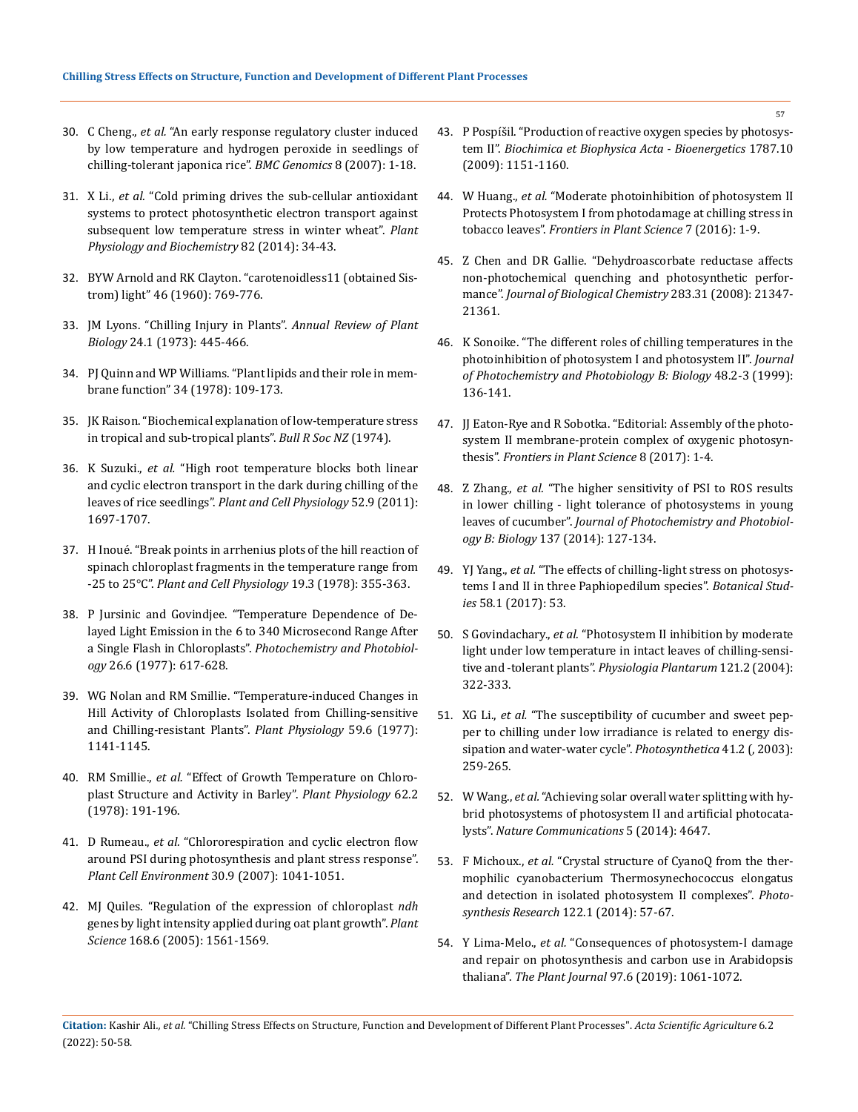- 30. C Cheng., *et al.* ["An early response regulatory cluster induced](https://pubmed.ncbi.nlm.nih.gov/17577400/) [by low temperature and hydrogen peroxide in seedlings of](https://pubmed.ncbi.nlm.nih.gov/17577400/) [chilling-tolerant japonica rice".](https://pubmed.ncbi.nlm.nih.gov/17577400/) *BMC Genomics* 8 (2007): 1-18.
- 31. X Li., *et al.* ["Cold priming drives the sub-cellular antioxidant](https://pubmed.ncbi.nlm.nih.gov/24887010/) [systems to protect photosynthetic electron transport against](https://pubmed.ncbi.nlm.nih.gov/24887010/) [subsequent low temperature stress in winter wheat".](https://pubmed.ncbi.nlm.nih.gov/24887010/) *Plant [Physiology and](https://pubmed.ncbi.nlm.nih.gov/24887010/) Biochemistry* 82 (2014): 34-43.
- 32. BYW Arnold and RK Clayton. "carotenoidless11 (obtained Sistrom) light" 46 (1960): 769-776.
- 33. [JM Lyons. "Chilling Injury in Plants".](https://www.annualreviews.org/doi/abs/10.1146/annurev.pp.24.060173.002305) *Annual Review of Plant Biology* [24.1 \(1973\): 445-466.](https://www.annualreviews.org/doi/abs/10.1146/annurev.pp.24.060173.002305)
- 34. [PJ Quinn and WP Williams. "Plant lipids and their role in mem](https://pdf.sciencedirectassets.com/271289/1-s2.0-S0079610700X00922/1-s2.0-0079610779900166/main.pdf?X-Amz-Security-Token=IQoJb3JpZ2luX2VjEKX%2F%2F%2F%2F%2F%2F%2F%2F%2F%2FwEaCXVzLWVhc3QtMSJHMEUCIQC0lGxpAhaohVM%2FtG%2BAK1JK6M4ARd%2BCnk7bv4pDziR6SgIgO9NE3fZNEBUYpNDFSYKrkjcGvrfNArzTHeMO1dCISVUqgwQIzv%2F%2F%2F%2F%2F%2F%2F%2F%2F%2FARAEGgwwNTkwMDM1NDY4NjUiDAWBE2LjTHjCAQ9J6irXA2ktTRAgaoB8GnlLk9j%2Bj8eYRrpaRZWK9oiWYv3imEGSToEfW3Dv6VPcDDru3TEnREEDp1YZqssNo%2BVPBUQ%2BaYQCDz2DIFrsi%2B7mp%2FwATqpRVO6kDxmMd%2F5twUoeJNGBXKUQWcP13CgRrKWMPt9qz%2FYfkAWoivtXzaPLAfeob%2Bwltrec3vENc3zgPf%2BVd7L0IcbP65%2BKchEYZeWhHY%2F4v38iyoq16wubuCgJ5bTa1LsitP2jYxpF%2BdAGmSk5icANfkBVKUfAAcAaBZMiV82HsfG0o4BInHLgdJDrLVaNkVRnPtyKmumniidnMSW6bDKT9TZ9dJ6QrwPsO%2FuRys4Z4VeuH8l5lpLAHyXGBQef2xYk5GBCzVDmZNYqhlDaJA3PGrLv0HH2xXEL2vK6e1cDOSIWmxU78OzdWs5EzNsptnY9fSFue5cRTvsxzgJhCGigS6XkP5Jm3pvm3o79TIfxD43fchzHkf5RFSLxpWThXG4xOYRGFssZkUJv4pXk04hSqyQ8ghIwrnGY0%2B3w%2BHfEmtC1m9Y9Fx2NB6C52SLb2nueeHD8m%2B3RDxCPVlCM2liTSNCu9pNw4X6XD4zC%2BWLZyp8lI7KVBZLpHiNtdmvPX0aXSNWPYuahjjCR582PBjqlAZYMfuokmsnFKfvOpJ1UxW3c0CmziOGB70vPboV1Sqo6PN2XYt56y1JhP3hOEaxMUGs6Ih2N1b1Km7IFKW3DJ33oxVG7U63TwCIiz272UDzRQqE%2FdP5MQPlGZeOTNkFp%2FBdpW6K7kDaQKU3ZYwMRcn2Bdixu0%2BZQ7MpUvnH46Wmnd5vI5i6grQvIftGFJHaW3xjDnlX%2FUvTVVTYOxB1HhbNfLr3KAA%3D%3D&X-Amz-Algorithm=AWS4-HMAC-SHA256&X-Amz-Date=20220128T054528Z&X-Amz-SignedHeaders=host&X-Amz-Expires=300&X-Amz-Credential=ASIAQ3PHCVTYTCPT5C6I%2F20220128%2Fus-east-1%2Fs3%2Faws4_request&X-Amz-Signature=583451b314ea0f0482cdac262f5d5f6c64850cc2697d8b356214b1d392583c12&hash=836141e02ad08f50af7dce6a6d7c692e62faa31ac34cb849e93db10b75a6dff3&host=68042c943591013ac2b2430a89b270f6af2c76d8dfd086a07176afe7c76c2c61&pii=0079610779900166&tid=spdf-48cf0c16-818d-44f6-948c-8c1454cfcd11&sid=17cccfb1293fc549d13a9157d43193e953f1gxrqb&type=client)[brane function" 34 \(1978\): 109-173.](https://pdf.sciencedirectassets.com/271289/1-s2.0-S0079610700X00922/1-s2.0-0079610779900166/main.pdf?X-Amz-Security-Token=IQoJb3JpZ2luX2VjEKX%2F%2F%2F%2F%2F%2F%2F%2F%2F%2FwEaCXVzLWVhc3QtMSJHMEUCIQC0lGxpAhaohVM%2FtG%2BAK1JK6M4ARd%2BCnk7bv4pDziR6SgIgO9NE3fZNEBUYpNDFSYKrkjcGvrfNArzTHeMO1dCISVUqgwQIzv%2F%2F%2F%2F%2F%2F%2F%2F%2F%2FARAEGgwwNTkwMDM1NDY4NjUiDAWBE2LjTHjCAQ9J6irXA2ktTRAgaoB8GnlLk9j%2Bj8eYRrpaRZWK9oiWYv3imEGSToEfW3Dv6VPcDDru3TEnREEDp1YZqssNo%2BVPBUQ%2BaYQCDz2DIFrsi%2B7mp%2FwATqpRVO6kDxmMd%2F5twUoeJNGBXKUQWcP13CgRrKWMPt9qz%2FYfkAWoivtXzaPLAfeob%2Bwltrec3vENc3zgPf%2BVd7L0IcbP65%2BKchEYZeWhHY%2F4v38iyoq16wubuCgJ5bTa1LsitP2jYxpF%2BdAGmSk5icANfkBVKUfAAcAaBZMiV82HsfG0o4BInHLgdJDrLVaNkVRnPtyKmumniidnMSW6bDKT9TZ9dJ6QrwPsO%2FuRys4Z4VeuH8l5lpLAHyXGBQef2xYk5GBCzVDmZNYqhlDaJA3PGrLv0HH2xXEL2vK6e1cDOSIWmxU78OzdWs5EzNsptnY9fSFue5cRTvsxzgJhCGigS6XkP5Jm3pvm3o79TIfxD43fchzHkf5RFSLxpWThXG4xOYRGFssZkUJv4pXk04hSqyQ8ghIwrnGY0%2B3w%2BHfEmtC1m9Y9Fx2NB6C52SLb2nueeHD8m%2B3RDxCPVlCM2liTSNCu9pNw4X6XD4zC%2BWLZyp8lI7KVBZLpHiNtdmvPX0aXSNWPYuahjjCR582PBjqlAZYMfuokmsnFKfvOpJ1UxW3c0CmziOGB70vPboV1Sqo6PN2XYt56y1JhP3hOEaxMUGs6Ih2N1b1Km7IFKW3DJ33oxVG7U63TwCIiz272UDzRQqE%2FdP5MQPlGZeOTNkFp%2FBdpW6K7kDaQKU3ZYwMRcn2Bdixu0%2BZQ7MpUvnH46Wmnd5vI5i6grQvIftGFJHaW3xjDnlX%2FUvTVVTYOxB1HhbNfLr3KAA%3D%3D&X-Amz-Algorithm=AWS4-HMAC-SHA256&X-Amz-Date=20220128T054528Z&X-Amz-SignedHeaders=host&X-Amz-Expires=300&X-Amz-Credential=ASIAQ3PHCVTYTCPT5C6I%2F20220128%2Fus-east-1%2Fs3%2Faws4_request&X-Amz-Signature=583451b314ea0f0482cdac262f5d5f6c64850cc2697d8b356214b1d392583c12&hash=836141e02ad08f50af7dce6a6d7c692e62faa31ac34cb849e93db10b75a6dff3&host=68042c943591013ac2b2430a89b270f6af2c76d8dfd086a07176afe7c76c2c61&pii=0079610779900166&tid=spdf-48cf0c16-818d-44f6-948c-8c1454cfcd11&sid=17cccfb1293fc549d13a9157d43193e953f1gxrqb&type=client)
- 35. JK Raison. "Biochemical explanation of low-temperature stress in tropical and sub-tropical plants". *Bull R Soc NZ* (1974).
- 36. K Suzuki., *et al.* ["High root temperature blocks both linear](https://academic.oup.com/pcp/article/52/9/1697/1866242) [and cyclic electron transport in the dark during chilling of the](https://academic.oup.com/pcp/article/52/9/1697/1866242) leaves of rice seedlings". *[Plant and Cell Physiology](https://academic.oup.com/pcp/article/52/9/1697/1866242)* 52.9 (2011): [1697-1707.](https://academic.oup.com/pcp/article/52/9/1697/1866242)
- 37. [H Inoué. "Break points in arrhenius plots of the hill reaction of](https://academic.oup.com/pcp/article-abstract/19/3/355/1898468) [spinach chloroplast fragments in the temperature range from](https://academic.oup.com/pcp/article-abstract/19/3/355/1898468) -25 to 25°C". *[Plant and Cell Physiology](https://academic.oup.com/pcp/article-abstract/19/3/355/1898468)* 19.3 (1978): 355-363.
- 38. [P Jursinic and Govindjee. "Temperature Dependence of De](https://af.booksc.eu/book/14917441/a7766b)[layed Light Emission in the 6 to 340 Microsecond Range After](https://af.booksc.eu/book/14917441/a7766b) a Single Flash in Chloroplasts". *[Photochemistry and Photobiol](https://af.booksc.eu/book/14917441/a7766b)ogy* [26.6 \(1977\): 617-628.](https://af.booksc.eu/book/14917441/a7766b)
- 39. [WG Nolan and RM Smillie. "Temperature-induced Changes in](https://www.ncbi.nlm.nih.gov/pmc/articles/PMC542523/) [Hill Activity of Chloroplasts Isolated from Chilling-sensitive](https://www.ncbi.nlm.nih.gov/pmc/articles/PMC542523/) [and Chilling-resistant Plants".](https://www.ncbi.nlm.nih.gov/pmc/articles/PMC542523/) *Plant Physiology* 59.6 (1977): [1141-1145.](https://www.ncbi.nlm.nih.gov/pmc/articles/PMC542523/)
- 40. RM Smillie., *et al.* ["Effect of Growth Temperature on Chloro](https://www.ncbi.nlm.nih.gov/pmc/articles/PMC1092088/)[plast Structure and Activity in Barley".](https://www.ncbi.nlm.nih.gov/pmc/articles/PMC1092088/) *Plant Physiology* 62.2 [\(1978\): 191-196.](https://www.ncbi.nlm.nih.gov/pmc/articles/PMC1092088/)
- 41. D Rumeau., *et al.* ["Chlororespiration and cyclic electron flow](https://pubmed.ncbi.nlm.nih.gov/17661746/) [around PSI during photosynthesis and plant stress response".](https://pubmed.ncbi.nlm.nih.gov/17661746/) *[Plant Cell Environment](https://pubmed.ncbi.nlm.nih.gov/17661746/)* 30.9 (2007): 1041-1051.
- 42. [MJ Quiles. "Regulation of the expression of chloroplast](https://www.sciencedirect.com/science/article/abs/pii/S0168945205000634) *ndh* [genes by light intensity applied during oat plant growth".](https://www.sciencedirect.com/science/article/abs/pii/S0168945205000634) *Plant Science* [168.6 \(2005\): 1561-1569.](https://www.sciencedirect.com/science/article/abs/pii/S0168945205000634)
- 43. [P Pospíšil. "Production of reactive oxygen species by photosys](https://pubmed.ncbi.nlm.nih.gov/19463778/)tem II". *[Biochimica et Biophysica Acta - Bioenergetics](https://pubmed.ncbi.nlm.nih.gov/19463778/)* 1787.10 [\(2009\): 1151-1160.](https://pubmed.ncbi.nlm.nih.gov/19463778/)
- 44. W Huang., *et al.* ["Moderate photoinhibition of photosystem II](https://www.frontiersin.org/articles/10.3389/fpls.2016.00182/full)  [Protects Photosystem I from photodamage at chilling stress in](https://www.frontiersin.org/articles/10.3389/fpls.2016.00182/full)  tobacco leaves". *[Frontiers in Plant Science](https://www.frontiersin.org/articles/10.3389/fpls.2016.00182/full)* 7 (2016): 1-9.
- 45. [Z Chen and DR Gallie. "Dehydroascorbate reductase affects](https://pubmed.ncbi.nlm.nih.gov/18539599/)  [non-photochemical quenching and photosynthetic perfor](https://pubmed.ncbi.nlm.nih.gov/18539599/)mance". *[Journal of Biological Chemistry](https://pubmed.ncbi.nlm.nih.gov/18539599/)* 283.31 (2008): 21347- [21361.](https://pubmed.ncbi.nlm.nih.gov/18539599/)
- 46. [K Sonoike. "The different roles of chilling temperatures in the](https://www.semanticscholar.org/paper/The-different-roles-of-chilling-temperatures-in-the-Sonoike/ff5a47e0436328c27f2911da5ed15a7b31cab782)  [photoinhibition of photosystem I and photosystem II".](https://www.semanticscholar.org/paper/The-different-roles-of-chilling-temperatures-in-the-Sonoike/ff5a47e0436328c27f2911da5ed15a7b31cab782) *Journal [of Photochemistry and Photobiology B: Biology](https://www.semanticscholar.org/paper/The-different-roles-of-chilling-temperatures-in-the-Sonoike/ff5a47e0436328c27f2911da5ed15a7b31cab782)* 48.2-3 (1999): [136-141.](https://www.semanticscholar.org/paper/The-different-roles-of-chilling-temperatures-in-the-Sonoike/ff5a47e0436328c27f2911da5ed15a7b31cab782)
- 47. [JJ Eaton-Rye and R Sobotka. "Editorial: Assembly of the photo](https://www.frontiersin.org/articles/10.3389/fpls.2017.00884/full)[system II membrane-protein complex of oxygenic photosyn](https://www.frontiersin.org/articles/10.3389/fpls.2017.00884/full)thesis". *[Frontiers in Plant Science](https://www.frontiersin.org/articles/10.3389/fpls.2017.00884/full)* 8 (2017): 1-4.
- 48. Z Zhang., *et al.* ["The higher sensitivity of PSI to ROS results](https://www.sciencedirect.com/science/article/abs/pii/S1011134413002923)  [in lower chilling - light tolerance of photosystems in young](https://www.sciencedirect.com/science/article/abs/pii/S1011134413002923)  leaves of cucumber". *[Journal of Photochemistry and Photobiol](https://www.sciencedirect.com/science/article/abs/pii/S1011134413002923)ogy B: Biology* [137 \(2014\): 127-134.](https://www.sciencedirect.com/science/article/abs/pii/S1011134413002923)
- 49. YJ Yang., *et al.* ["The effects of chilling-light stress on photosys](https://pubmed.ncbi.nlm.nih.gov/29177684/)[tems I and II in three Paphiopedilum species".](https://pubmed.ncbi.nlm.nih.gov/29177684/) *Botanical Studies* [58.1 \(2017\): 53.](https://pubmed.ncbi.nlm.nih.gov/29177684/)
- 50. S Govindachary., *et al.* ["Photosystem II inhibition by moderate](https://pubmed.ncbi.nlm.nih.gov/15153200/)  [light under low temperature in intact leaves of chilling-sensi](https://pubmed.ncbi.nlm.nih.gov/15153200/)tive and -tolerant plants". *[Physiologia Plantarum](https://pubmed.ncbi.nlm.nih.gov/15153200/)* 121.2 (2004): [322-333.](https://pubmed.ncbi.nlm.nih.gov/15153200/)
- 51. XG Li., *et al.* ["The susceptibility of cucumber and sweet pep](https://www.researchgate.net/publication/225213475_The_Susceptibility_of_Cucumber_and_Sweet_Pepper_to_Chilling_Under_Low_Irradiance_is_Related_to_Energy_Dissipation_and_Water-Water_Cycle)[per to chilling under low irradiance is related to energy dis](https://www.researchgate.net/publication/225213475_The_Susceptibility_of_Cucumber_and_Sweet_Pepper_to_Chilling_Under_Low_Irradiance_is_Related_to_Energy_Dissipation_and_Water-Water_Cycle)[sipation and water-water cycle".](https://www.researchgate.net/publication/225213475_The_Susceptibility_of_Cucumber_and_Sweet_Pepper_to_Chilling_Under_Low_Irradiance_is_Related_to_Energy_Dissipation_and_Water-Water_Cycle) *Photosynthetica* 41.2 (, 2003): [259-265.](https://www.researchgate.net/publication/225213475_The_Susceptibility_of_Cucumber_and_Sweet_Pepper_to_Chilling_Under_Low_Irradiance_is_Related_to_Energy_Dissipation_and_Water-Water_Cycle)
- 52. W Wang., *et al.* ["Achieving solar overall water splitting with hy](https://pubmed.ncbi.nlm.nih.gov/25115942/)[brid photosystems of photosystem II and artificial photocata](https://pubmed.ncbi.nlm.nih.gov/25115942/)lysts". *[Nature Communications](https://pubmed.ncbi.nlm.nih.gov/25115942/)* 5 (2014): 4647.
- 53. F Michoux., *et al.* ["Crystal structure of CyanoQ from the ther](https://link.springer.com/article/10.1007/s11120-014-0010-z)[mophilic cyanobacterium Thermosynechococcus elongatus](https://link.springer.com/article/10.1007/s11120-014-0010-z)  [and detection in isolated photosystem II complexes".](https://link.springer.com/article/10.1007/s11120-014-0010-z) *Photo[synthesis Research](https://link.springer.com/article/10.1007/s11120-014-0010-z)* 122.1 (2014): 57-67.
- 54. Y Lima-Melo., *et al.* ["Consequences of photosystem-I damage](https://pubmed.ncbi.nlm.nih.gov/30488561/)  [and repair on photosynthesis and carbon use in Arabidopsis](https://pubmed.ncbi.nlm.nih.gov/30488561/)  thaliana". *The Plant Journal* [97.6 \(2019\): 1061-1072.](https://pubmed.ncbi.nlm.nih.gov/30488561/)

**Citation:** Kashir Ali*., et al.* "Chilling Stress Effects on Structure, Function and Development of Different Plant Processes". *Acta Scientific Agriculture* 6.2 (2022): 50-58.